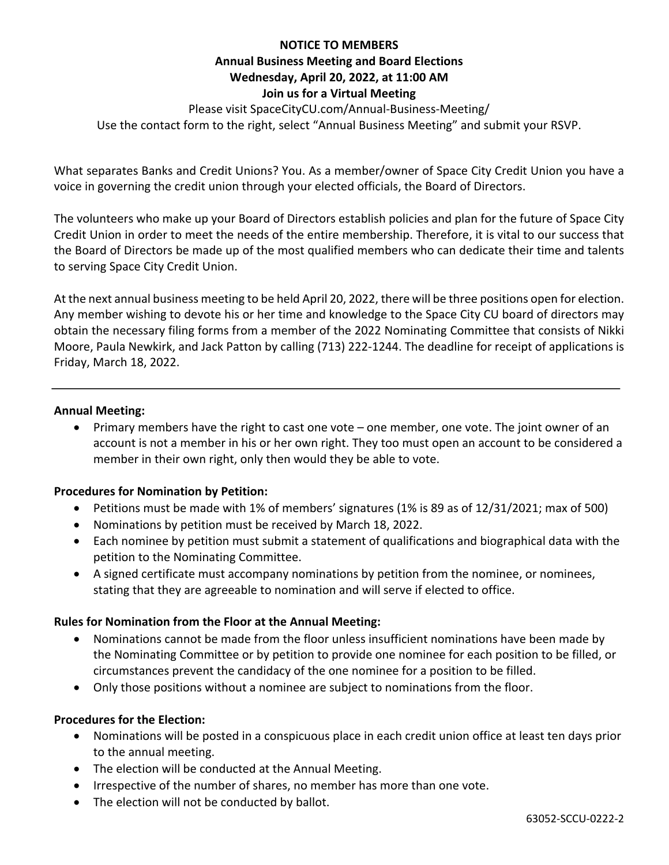### **NOTICE TO MEMBERS**

## **Annual Business Meeting and Board Elections Wednesday, April 20, 2022, at 11:00 AM Join us for a Virtual Meeting**

Please visit SpaceCityCU.com/Annual-Business-Meeting/ Use the contact form to the right, select "Annual Business Meeting" and submit your RSVP.

What separates Banks and Credit Unions? You. As a member/owner of Space City Credit Union you have a voice in governing the credit union through your elected officials, the Board of Directors.

The volunteers who make up your Board of Directors establish policies and plan for the future of Space City Credit Union in order to meet the needs of the entire membership. Therefore, it is vital to our success that the Board of Directors be made up of the most qualified members who can dedicate their time and talents to serving Space City Credit Union.

At the next annual business meeting to be held April 20, 2022, there will be three positions open for election. Any member wishing to devote his or her time and knowledge to the Space City CU board of directors may obtain the necessary filing forms from a member of the 2022 Nominating Committee that consists of Nikki Moore, Paula Newkirk, and Jack Patton by calling (713) 222-1244. The deadline for receipt of applications is Friday, March 18, 2022.

#### **Annual Meeting:**

• Primary members have the right to cast one vote – one member, one vote. The joint owner of an account is not a member in his or her own right. They too must open an account to be considered a member in their own right, only then would they be able to vote.

## **Procedures for Nomination by Petition:**

- Petitions must be made with 1% of members' signatures (1% is 89 as of 12/31/2021; max of 500)
- Nominations by petition must be received by March 18, 2022.
- Each nominee by petition must submit a statement of qualifications and biographical data with the petition to the Nominating Committee.
- A signed certificate must accompany nominations by petition from the nominee, or nominees, stating that they are agreeable to nomination and will serve if elected to office.

## **Rules for Nomination from the Floor at the Annual Meeting:**

- Nominations cannot be made from the floor unless insufficient nominations have been made by the Nominating Committee or by petition to provide one nominee for each position to be filled, or circumstances prevent the candidacy of the one nominee for a position to be filled.
- Only those positions without a nominee are subject to nominations from the floor.

## **Procedures for the Election:**

- Nominations will be posted in a conspicuous place in each credit union office at least ten days prior to the annual meeting.
- The election will be conducted at the Annual Meeting.
- Irrespective of the number of shares, no member has more than one vote.
- The election will not be conducted by ballot.